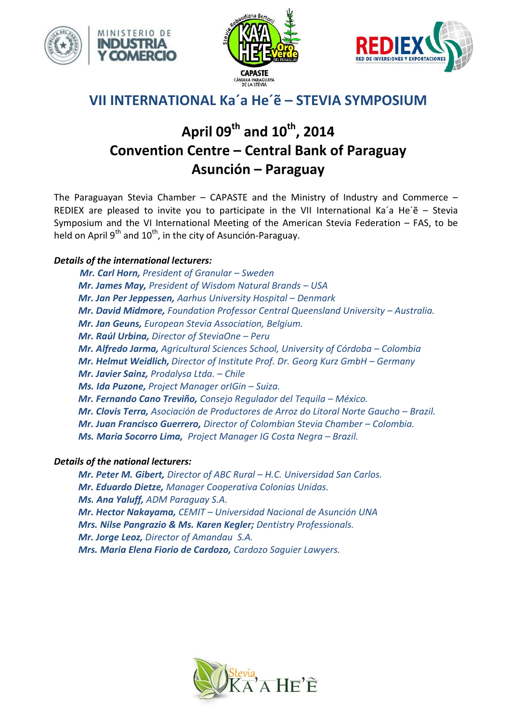





# **VII INTERNATIONAL Ka´a He´ẽ – STEVIA SYMPOSIUM**

# **April 09th and 10 th, 2014 Convention Centre – Central Bank of Paraguay Asunción – Paraguay**

The Paraguayan Stevia Chamber – CAPASTE and the Ministry of Industry and Commerce – REDIEX are pleased to invite you to participate in the VII International Ka'a He'e - Stevia Symposium and the VI International Meeting of the American Stevia Federation – FAS, to be held on April 9<sup>th</sup> and 10<sup>th</sup>, in the city of Asunción-Paraguay.

# *Details of the international lecturers:*

*Mr. Carl Horn, President of Granular – Sweden Mr. James May, President of Wisdom Natural Brands – USA* **Mr. Jan Per Jeppessen,** *Aarhus University Hospital – Denmark Mr. David Midmore, Foundation Professor Central Queensland University – Australia. Mr. Jan Geuns, European Stevia Association, Belgium. Mr. Raúl Urbina, Director of SteviaOne – Peru Mr. Alfredo Jarma, Agricultural Sciences School, University of Córdoba – Colombia*  **Mr. Helmut Weidlich,** Director of Institute Prof. Dr. Georg Kurz GmbH - Germany *Mr. Javier Sainz, Prodalysa Ltda. – Chile Ms. Ida Puzone, Project Manager orIGin – Suiza. Mr. Fernando Cano Treviño, Consejo Regulador del Tequila – México. Mr. Clovis Terra, Asociación de Productores de Arroz do Litoral Norte Gaucho – Brazil. Mr. Juan Francisco Guerrero, Director of Colombian Stevia Chamber – Colombia.* **Ms. Maria Socorro Lima, Project Manager IG Costa Negra – Brazil.** 

## *Details of the national lecturers:*

*Mr. Peter M. Gibert, Director of ABC Rural – H.C. Universidad San Carlos. Mr. Eduardo Dietze, Manager Cooperativa Colonias Unidas. Ms. Ana Yaluff, ADM Paraguay S.A. Mr. Hector Nakayama, CEMIT – Universidad Nacional de Asunción UNA Mrs. Nilse Pangrazio & Ms. Karen Kegler; Dentistry Professionals. Mr. Jorge Leoz, Director of Amandau S.A. Mrs. Maria Elena Fiorio de Cardozo, Cardozo Saguier Lawyers.* 

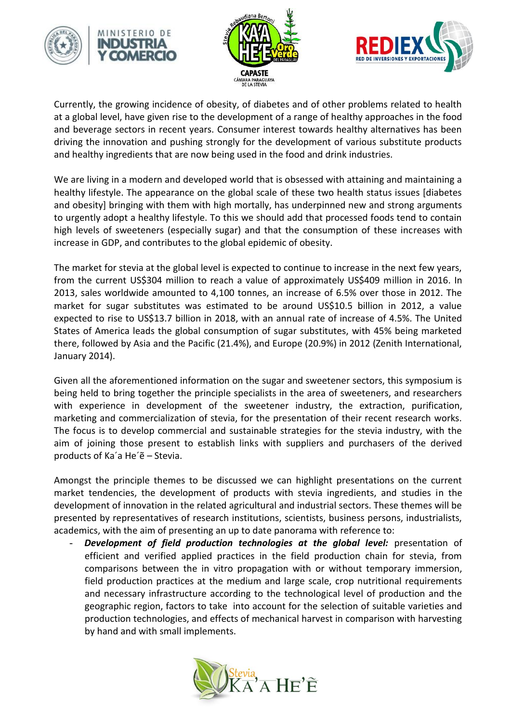





Currently, the growing incidence of obesity, of diabetes and of other problems related to health at a global level, have given rise to the development of a range of healthy approaches in the food and beverage sectors in recent years. Consumer interest towards healthy alternatives has been driving the innovation and pushing strongly for the development of various substitute products and healthy ingredients that are now being used in the food and drink industries.

We are living in a modern and developed world that is obsessed with attaining and maintaining a healthy lifestyle. The appearance on the global scale of these two health status issues [diabetes and obesity] bringing with them with high mortally, has underpinned new and strong arguments to urgently adopt a healthy lifestyle. To this we should add that processed foods tend to contain high levels of sweeteners (especially sugar) and that the consumption of these increases with increase in GDP, and contributes to the global epidemic of obesity.

The market for stevia at the global level is expected to continue to increase in the next few years, from the current US\$304 million to reach a value of approximately US\$409 million in 2016. In 2013, sales worldwide amounted to 4,100 tonnes, an increase of 6.5% over those in 2012. The market for sugar substitutes was estimated to be around US\$10.5 billion in 2012, a value expected to rise to US\$13.7 billion in 2018, with an annual rate of increase of 4.5%. The United States of America leads the global consumption of sugar substitutes, with 45% being marketed there, followed by Asia and the Pacific (21.4%), and Europe (20.9%) in 2012 (Zenith International, January 2014).

Given all the aforementioned information on the sugar and sweetener sectors, this symposium is being held to bring together the principle specialists in the area of sweeteners, and researchers with experience in development of the sweetener industry, the extraction, purification, marketing and commercialization of stevia, for the presentation of their recent research works. The focus is to develop commercial and sustainable strategies for the stevia industry, with the aim of joining those present to establish links with suppliers and purchasers of the derived products of Ka´a He´ẽ – Stevia.

Amongst the principle themes to be discussed we can highlight presentations on the current market tendencies, the development of products with stevia ingredients, and studies in the development of innovation in the related agricultural and industrial sectors. These themes will be presented by representatives of research institutions, scientists, business persons, industrialists, academics, with the aim of presenting an up to date panorama with reference to:

Development of field production technologies at the global level: presentation of efficient and verified applied practices in the field production chain for stevia, from comparisons between the in vitro propagation with or without temporary immersion, field production practices at the medium and large scale, crop nutritional requirements and necessary infrastructure according to the technological level of production and the geographic region, factors to take into account for the selection of suitable varieties and production technologies, and effects of mechanical harvest in comparison with harvesting by hand and with small implements.

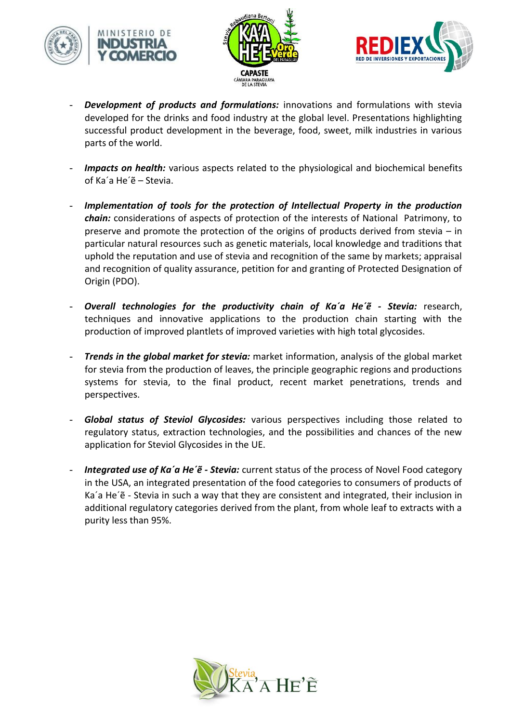





- **Development of products and formulations:** innovations and formulations with stevia developed for the drinks and food industry at the global level. Presentations highlighting successful product development in the beverage, food, sweet, milk industries in various parts of the world.
- *Impacts on health:* various aspects related to the physiological and biochemical benefits of Ka´a He´ẽ – Stevia.
- Implementation of tools for the protection of Intellectual Property in the production *chain:* considerations of aspects of protection of the interests of National Patrimony, to preserve and promote the protection of the origins of products derived from stevia – in particular natural resources such as genetic materials, local knowledge and traditions that uphold the reputation and use of stevia and recognition of the same by markets; appraisal and recognition of quality assurance, petition for and granting of Protected Designation of Origin (PDO).
- *Overall technologies for the productivity chain of Ka´a He´ẽ - Stevia:* research, techniques and innovative applications to the production chain starting with the production of improved plantlets of improved varieties with high total glycosides.
- *Trends in the global market for stevia:* market information, analysis of the global market for stevia from the production of leaves, the principle geographic regions and productions systems for stevia, to the final product, recent market penetrations, trends and perspectives.
- *Global status of Steviol Glycosides:* various perspectives including those related to regulatory status, extraction technologies, and the possibilities and chances of the new application for Steviol Glycosides in the UE.
- *Integrated use of Ka'a He'ë Stevia:* current status of the process of Novel Food category in the USA, an integrated presentation of the food categories to consumers of products of Ka´a He´ẽ - Stevia in such a way that they are consistent and integrated, their inclusion in additional regulatory categories derived from the plant, from whole leaf to extracts with a purity less than 95%.

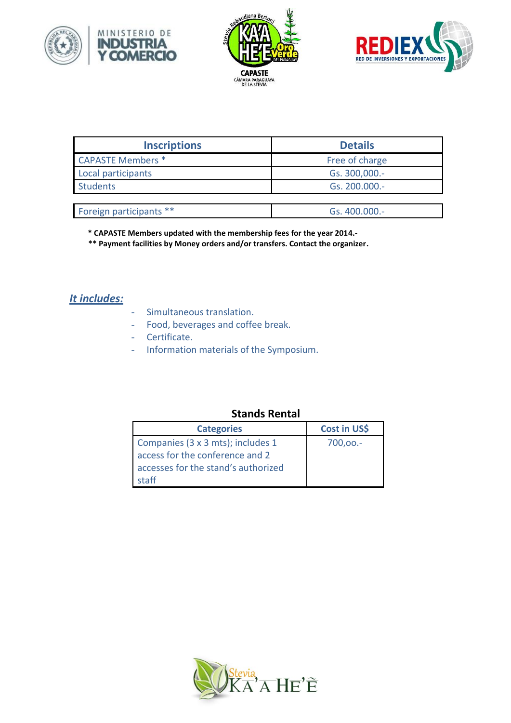





| <b>Inscriptions</b>      | <b>Details</b> |
|--------------------------|----------------|
| <b>CAPASTE Members *</b> | Free of charge |
| Local participants       | Gs. 300,000.-  |
| <b>Students</b>          | Gs. 200.000.-  |
|                          |                |
| Foreign participants **  | Gs. 400.000.-  |

 **\* CAPASTE Members updated with the membership fees for the year 2014.-**

 **\*\* Payment facilities by Money orders and/or transfers. Contact the organizer.**

# *It includes:*

- Simultaneous translation.
- Food, beverages and coffee break.
- Certificate.
- Information materials of the Symposium.

## **Stands Rental**

| <b>Categories</b>                   | Cost in US\$ |
|-------------------------------------|--------------|
| Companies (3 x 3 mts); includes 1   | $700,00. -$  |
| access for the conference and 2     |              |
| accesses for the stand's authorized |              |
| staff                               |              |